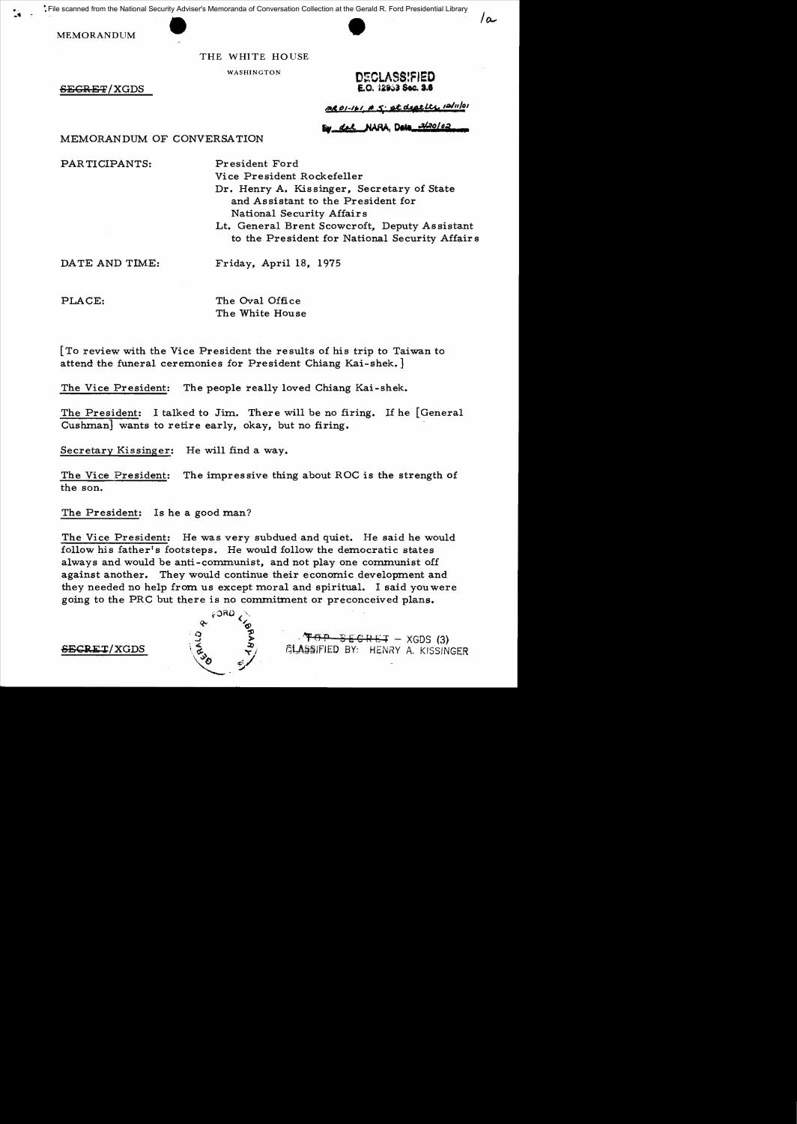File scanned from the National Security Adviser's Memoranda of Conversation Collection at the Gerald R. Ford Presidential Library

MEMORANDUM

### THE WHITE HOUSE

 $SE$ GRET/XGDS



 $/2$ 

AR01-161 # 5: et deat Lts 12/11/01

# International Conversation **External State of the Strategy** MEMORANDUM OF CONVERSATION

PARTICIPANTS: President Ford

Vice President Rockefeller

Dr. Henry A. Kissinger, Secretary of State and Assistant to the President for National Security Affairs

Lt. General Brent Scowcroft, Deputy Assistant to the President for National Security Affairs

DATE AND TIME: Friday, April 18, 1975

PLACE: The Oval Office The White House

[To review with the Vice President the results of his trip to Taiwan to attend the funeral ceremonies for President Chiang Kai-shek. ]

The Vice President: The people really loved Chiang Kai-shek.

The President: I talked to Jim. There will be no firing. If he [General Cushman] wants to retire early, okay, but no firing.

Secretary Kissinger: He will find a way.

The Vice President: The impressive thing about ROC is the strength of the son.

The President: Is he a good man?

The Vice President: He was very subdued and quiet. He said he would follow his father's footsteps. He would follow the democratic states always and would be anti-communist, and not play one communist off against another. They would continue their economic development and they needed no help from us except moral and spiritual. I said you were going to the PRC but there is no commitment or preconceived plans.



 $\overrightarrow{AB}$   $\overrightarrow{CP}$   $\overrightarrow{CP}$   $\overrightarrow{CP}$   $\overrightarrow{CP}$   $\overrightarrow{CP}$   $\overrightarrow{CP}$   $\overrightarrow{CP}$   $\overrightarrow{CP}$   $\overrightarrow{CP}$   $\overrightarrow{CP}$   $\overrightarrow{CP}$   $\overrightarrow{CP}$   $\overrightarrow{CP}$   $\overrightarrow{CP}$   $\overrightarrow{CP}$   $\overrightarrow{CP}$   $\overrightarrow{CP}$   $\overrightarrow{CP}$   $\overrightarrow{CP}$   $\overrightarrow{CP}$   $\overrightarrow{CP}$   $\overrightarrow{CP}$   $\overrightarrow{CP}$   $\overrightarrow{$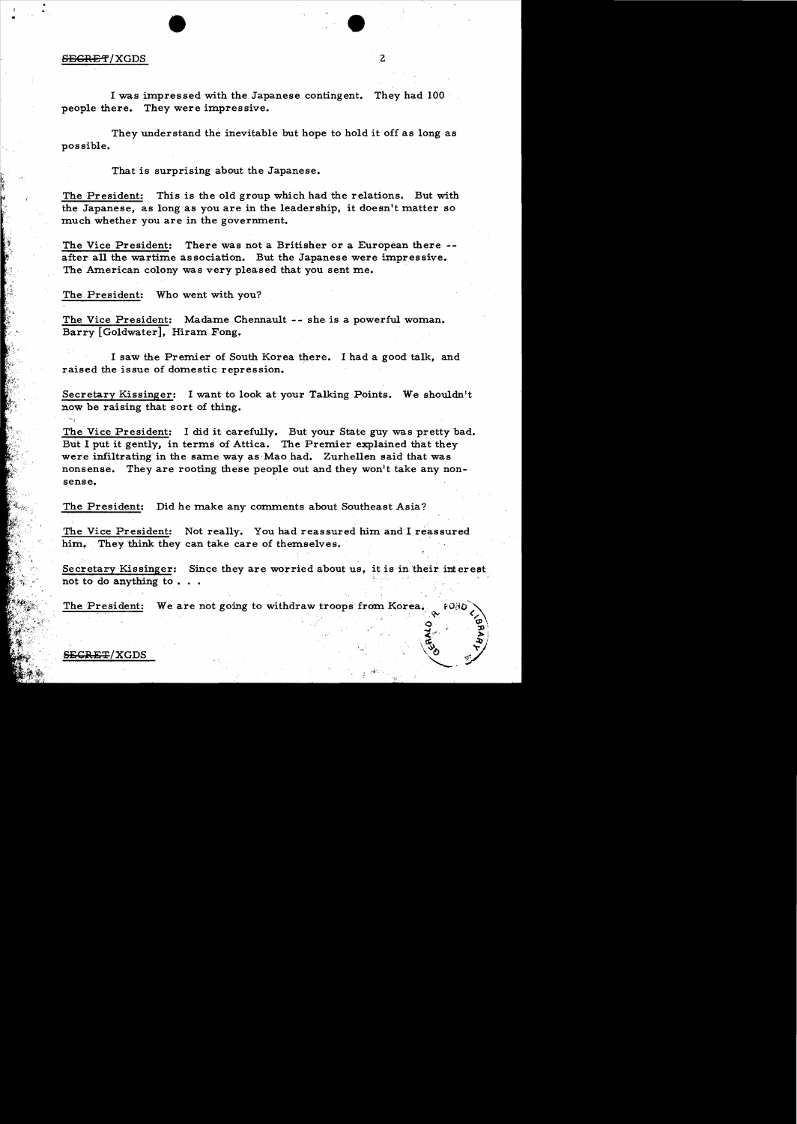# • • SEiCRE~ / XGDS ,2

I was impressed with the Japanese contingent. They had 100 people there. They were impressive.

They understand the inevitable but hope to hold it off as long as possible.

That is surprising about the Japanese.

The President: This is the old group which had the relations. But with the Japanese, as long as you are in the leadership, it doesn't matter so much whether you are in the government.

The Vice President: There was not a Britisher or a European there -after all the wartime association. But the Japanese were impressive. The American colony was very pleased that you sent me.

The President: Who went with you?

The Vice President: Madame Chennault -- she is a powerful woman. Barry [Goldwater], Hiram Fong.

I saw the Premier of South Korea there. I had a good talk, and raised the issue of domestic repression.

Secretary Kissinger: I want to look at your Talking Points. We shouldn't now be raising that sort of thing.

The Vice President: I did it carefully. But your State guy was pretty bad. But I put it gently, in terms of Attica. The Premier explained that they were infiltrating in the same way as Mao had. Zurhellen said that was nonsense. They are rooting these people out and they won't take any nonsense.

The President: Did he make any comments about Southeast Asia?

The Vice President: Not really. You had reassured him and I reassured him. They think they can take care of themselves.

Secretary Kissinger: Since they are worried about us, it is in their interest not to do anything to  $\ldots$ 

- , -J

 $\left(\begin{matrix} \vec{a} & \vec{b} \\ \vec{c} & \vec{c} \end{matrix}\right)$ 

"--~

The President: We are not going to withdraw troops from Korea.  $\frac{9}{9}$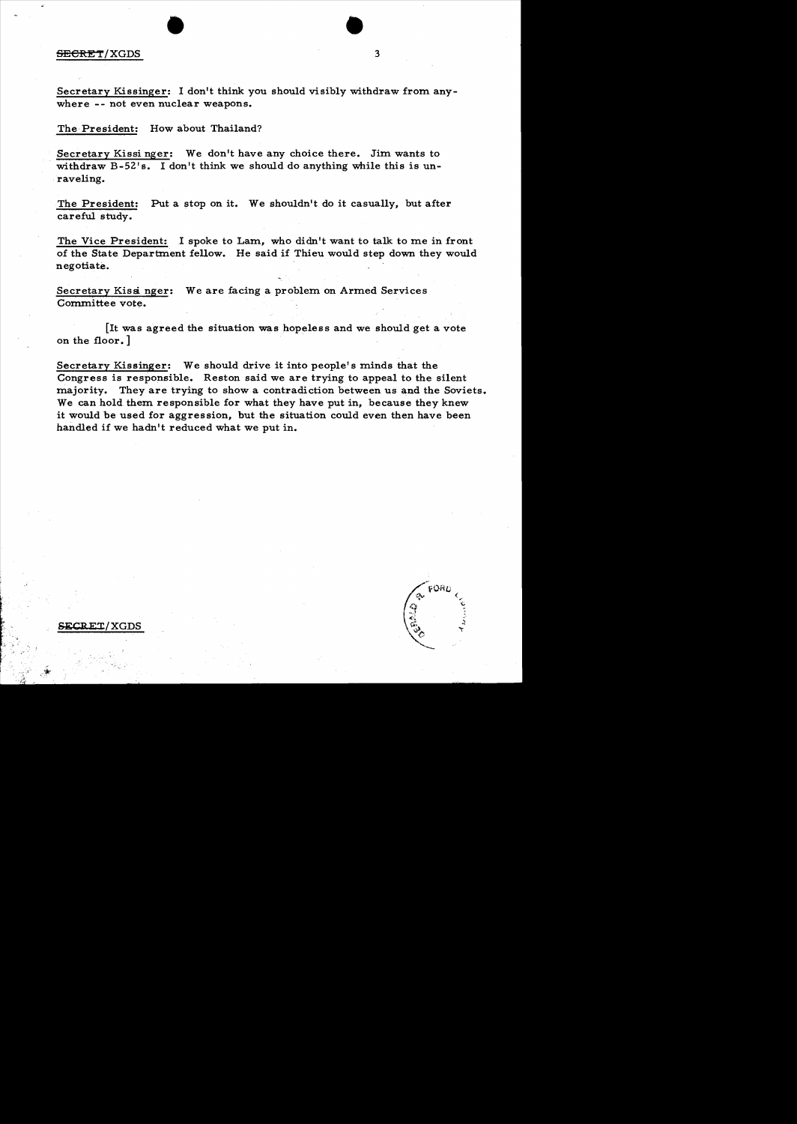### SECRET/XGDS

Secretary Kissinger: I don't think you should visibly withdraw from anywhere -- not even nuclear weapons.

• •

3

The President: How about Thailand?

Secretary Kissi nger: We don't have any choice there. Jim wants to withdraw B-52's. I don't think we should do anything while this is unraveling.

The President: Put a stop on it. We shouldn't do it casually, but after careful study.

The Vice President: I spoke to Lam, who didn't want to talk to me in front of the State Department fellow. He said if Thieu would step down they would negotiate.

Secretary Kissinger: We are facing a problem on Armed Services Committee vote.

[It was agreed the situation was hopeless and we should get a vote on the floor. ]

Secretary Kissinger: We should drive it into people's minds that the Congress is responsible. Reston said we are trying to appeal to the silent majority. They are trying to show a contradiction between us and the Soviets. We can hold them responsible for what they have put in, because they knew it would be used for aggression, but the situation could even then have been handled if we hadn't reduced what we put in.

FORD

~CBET/XGDS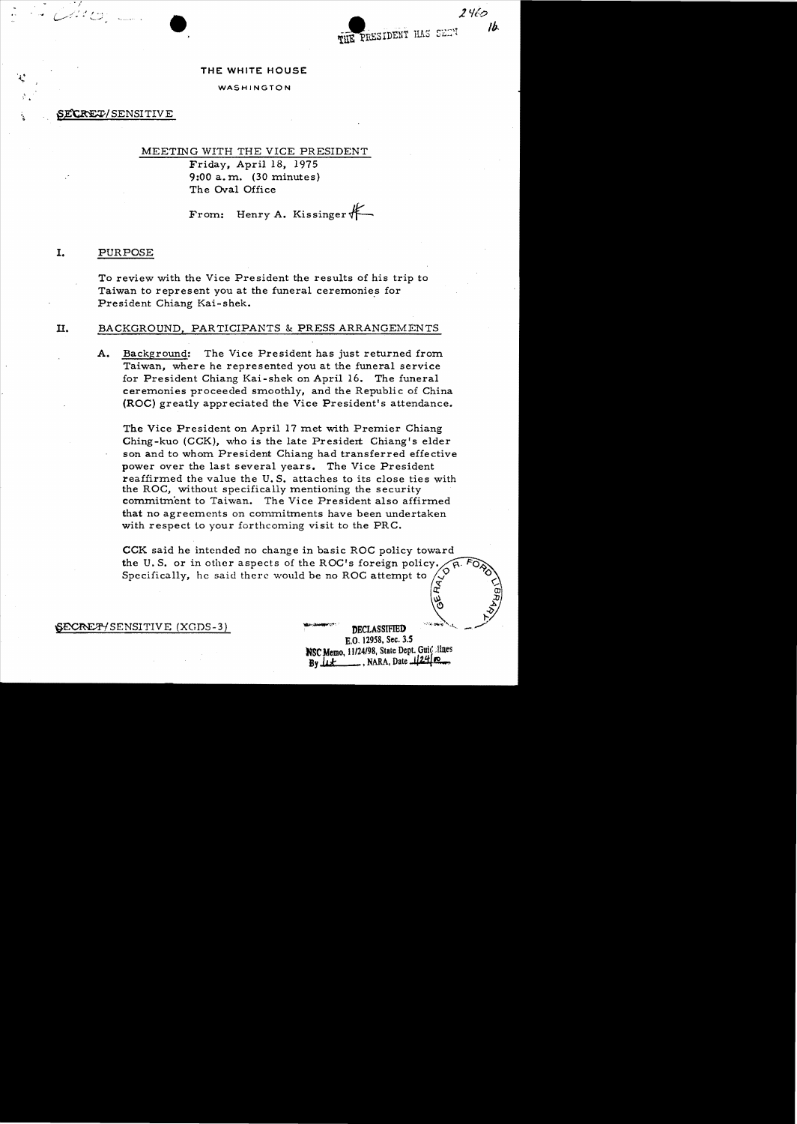THE PRESIDENT HAS SELV

*lV{e;>* 

*II;.* 

### THE WHITE HOUSE

### WASHINGTON

### SECRET/SENSITIVE

" /

82 C C C

# MEETING WITH THE VICE PRESIDENT Friday, April 18, 1975

9:00 a. m. (30 minutes) The Oval Office

From: Henry A. Kissinger \*-

### I. PURPOSE

To review with the Vice President the results of his trip to Taiwan to represent you at the funeral ceremonies for President Chiang Kai-shek.

### II. BACKGROUND, PARTICIPANTS & PRESS ARRANGEMENTS

A. Background: The Vice President has just returned from Taiwan, where he represented you at the funeral service for President Chiang Kai-shek on April 16. The funeral ceremonies proceeded smoothly, and the Republic of China (ROC) greatly appreciated the Vice President's attendance.

The Vice President on April 17 met with Premier Chiang Ching-kuo (CCK), who is the late President Chiang's elder son and to whom President Chiang had transferred effective power over the last several years. The Vice President reaffirmed the value the U. S. attaches to its close ties with the ROC, without specifically mentioning the security commitment to Taiwan. The Vice President also affirmed that no agreements on commitments have been undertaken with respect to your forthcoming visit to the PRC.

CCK said he intended no change in basic ROC policy toward the U.S. or in other aspects of the ROC's foreign policy. Specifically, he said there would be no ROC attempt to

SECRET / SENSITIVE (XGDS-3) **THE SECRET IN THE SECRET I**NCLASSIFIED

B.O. 12958, Sec. *3.S* NSC Memo, 11/24/98, State Dept. Guid lines By  $\mu$   $\pm$   $\ldots$ , NARA, Date  $\mu$ 24  $\infty$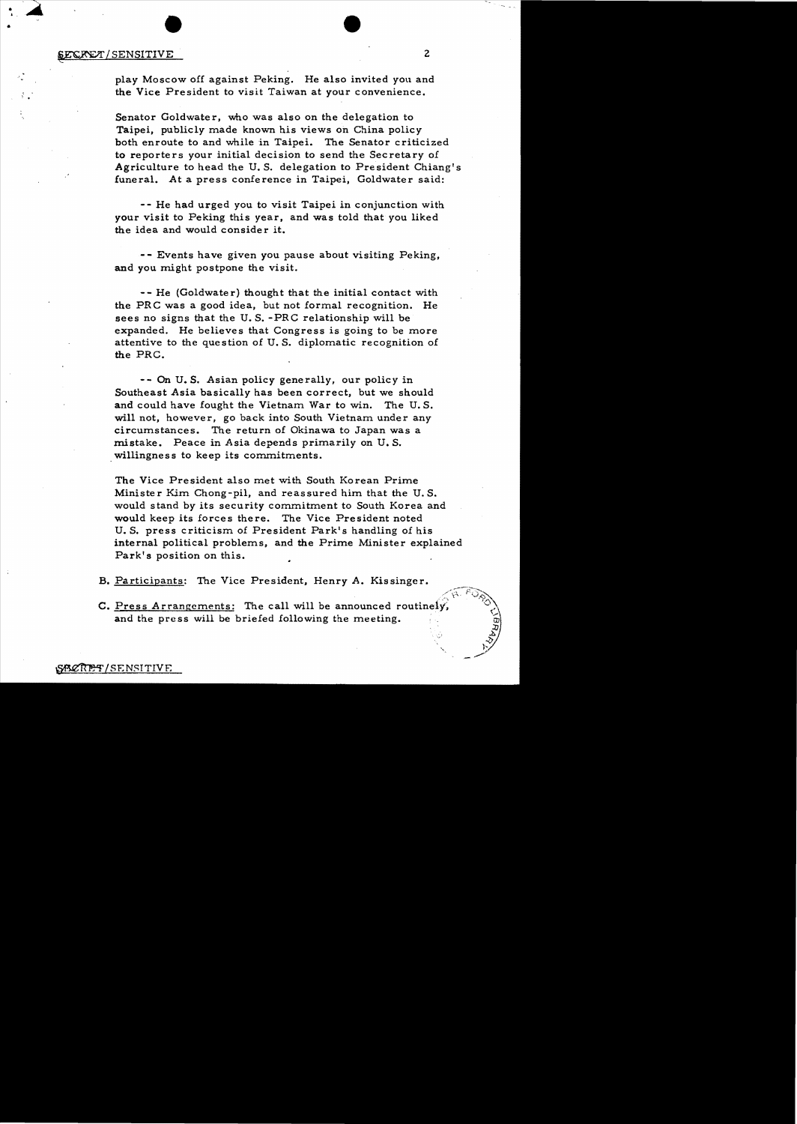# **SECRET**/SENSITIVE 2

 $\blacktriangle$ 

play Moscow off against Peking. He also invited you and the Vice President to visit Taiwan at your convenience.

Senator Goldwater, who was also on the delegation to Taipei, publicly made known his views on China policy both enroute to and while in Taipei. The Senator criticized to reporters your initial decision to send the Secretary of Agriculture to head the U. S. delegation to Pre sident Chiang's funeral. At a press conference in Taipei, Goldwater said:

- - He had urged you to visit Taipei in conjunction with your visit to Peking this *year.* and was told that you liked the idea and would consider it.

- - Events have given you pause about visiting Peking, and you might postpone the visit.

-- He (Goldwater) thought that the initial contact with the PRC was a good idea, but not formal recognition. He sees no signs that the U. S. -PRC relationship will be expanded. He believes that Congress is going to be more attentive to the question of U.S. diplomatic recognition of the PRC.

-- On U.S. Asian policy generally, our policy in Southeast Asia basically has been correct, but we should and could have fought the Vietnam War to win. The U.S. will not, however, go back into South Vietnam under any circumstances. The return of Okinawa to Japan was a mistake. Peace in Asia depends primarily on U.S. willingness to keep its commitments.

The Vice President also met with South Korean Prime Minister Kim Chong-pil, and reassured him that the U.S. would stand by its security commitment to South Korea and would keep its forces there. The Vice President noted U. S. press criticism of President Park<sup>1</sup>s handling of his internal political problems, and the Prime Minister explained Park's position on this.

B. Participants: The Vice President, Henry A. Kissinger.

C. Press Arrangements: The call will be announced routinely and the press will be briefed following the meeting.

r<br>S ~>/

**" \_\_ ty**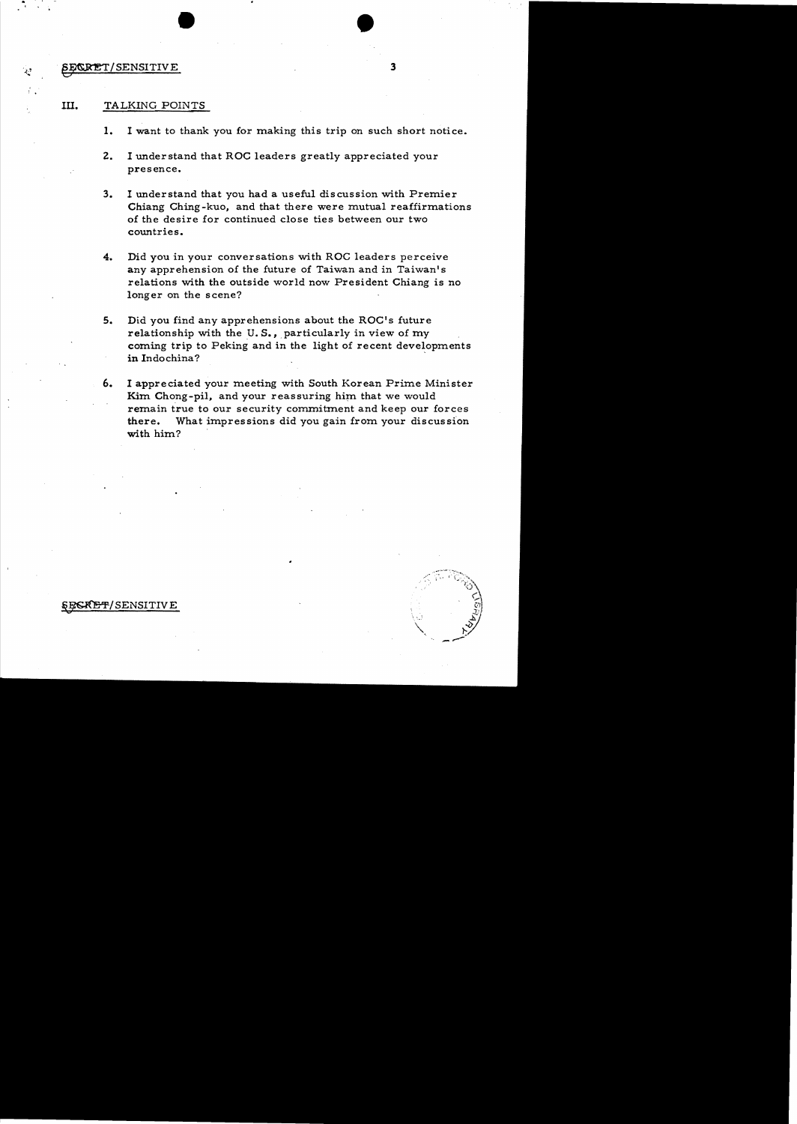### SE/CRET/SENSITIVE 3

.. 

 $\bullet$  , and the set of  $\bullet$  , and the set of  $\bullet$  , and the set of  $\bullet$ 

- 1. I want to thank you for making this trip on such short notice.
- 2. I understand that ROC leaders greatly appreciated your presence.
- 3. I understand that you had a useful discussion with Premier Chiang Ching-kuo, and that there were mutual reaffirmations of the desire for continued close ties between our two countries.
- 4. Did you in your conversations with ROC leaders perceive any apprehension of the future of Taiwan and in Taiwan's relations with the outside world now President Chiang is no longer on the scene?
- 5. Did you find any apprehensions about the ROC's future relationship with the U.S., particularly in view of my coming trip to Peking and in the light of recent developments in Indochina? '
- 6. I appreciated your meeting with South Korean Prime Minister Kim Chong-pil, and your reassuring him that we would remain true to our security commitment and keep our forces there. What impressions did you gain from your discussion with him?



*SECRET/SENSITIVE*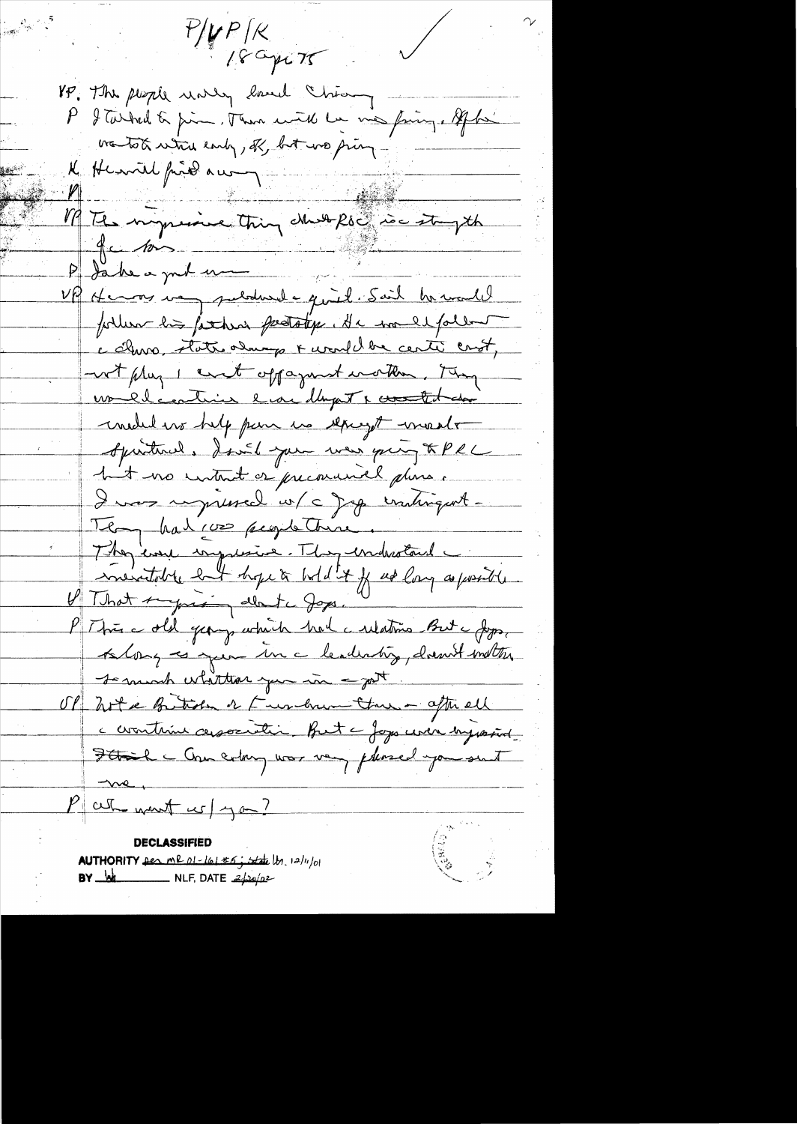$P/\mu P/\kappa$ 18 apr 75 VP. The people working land chiamy - $\mathcal{P}^-$ I Tarked to pin. Then with he me fing, After wantot which early, off, but we pring K Henril find au 7 M Tes impressive thing cheese ise strepth للمستنب أناس Uff Henor very puloderal a quiet. Sail he would fortun his father perstation. He was explored c churo, state almago & would be center crost, wit plug I cent oppagnent worther, they vouldcontain la dapt levent dan medid we help pair us sepayst meet Aprintered, don't you was going & PRL hut no intent or precourance dans. I was upressed w/c Jap untingent. Templations proportione. They care impressive. They embrotant ineratable but hope à bild it fuse long as posite U That suggestion about a Joyes. P This a old george which had a relations But a Joys, Along es guer un a lenderstig, danné instru se much whittiar you in got. OP hotel Butido or Fundrum the - after ell c countrine association. But a Joys were bysterid. Stail - One extrem was very pleased you sent P at want w/ you? **DECLASSIFIED** 

AUTHORITY Des me 01-161 #6; state b. 12/11/01 **BY**  $M$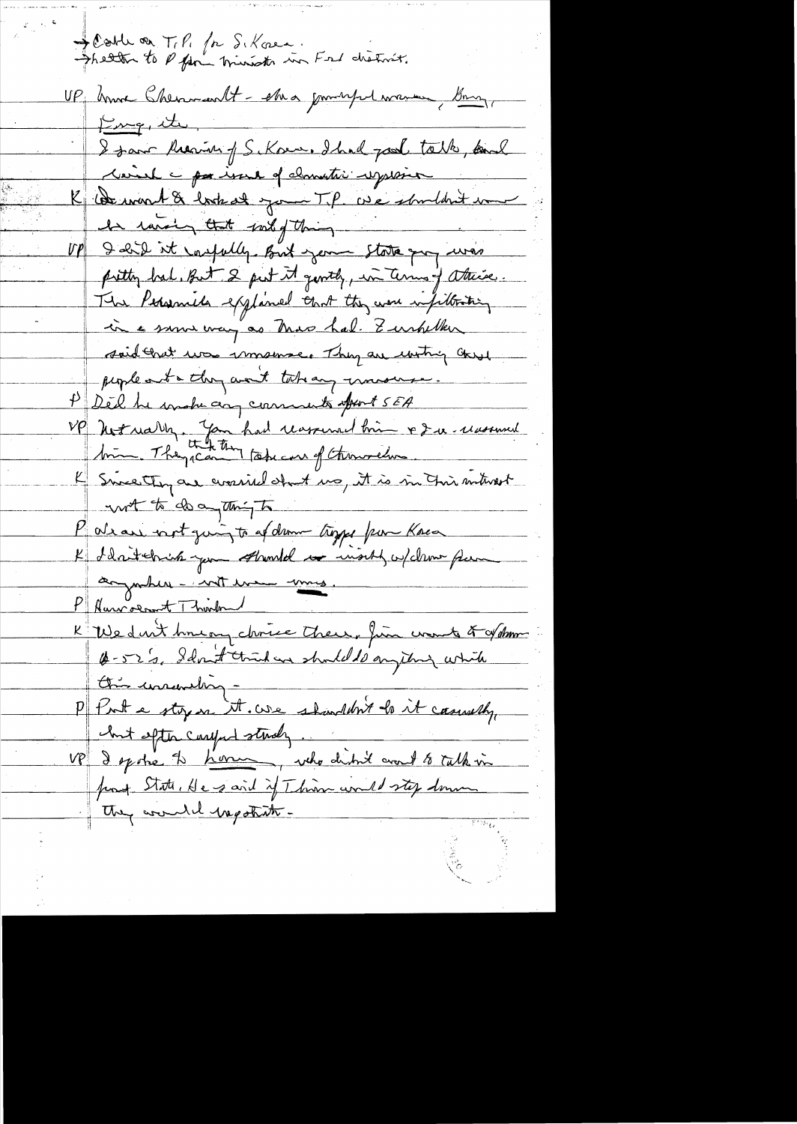Scotte on T.P. for S. Kosen.<br>Shetter to P fan minister in Fred chatrist. UP honore Chemmant - she a journeyed warmer, Bonny, King, it I saw theaven of S. Kom. Ihad pool take, and Neich - por issue of clomatic register K Comment & look at your T.P. we shouldn't immed In raising that sound thing UP I did it carpelly But your state quy was pretty bal, But 2 pert it gently, in Terms of atteise. The Personal explaned that they were infilteriting in a sum way as Mas had. Zurhelker said that was immemsed Thy are uniting chered peopleanta they want take any monserve. P Ded he make any comments after 15EA VP Notrally. Jan had reasonal bien & Du reasonal K Since they are considered ino, it is in this mitured with do a thigh P als au voirt quinz to af dem troppe par Kosa K Wedn't houan choice there, fin wont of of domme Derau. Idn't trût en should de angeting which On unemalign P Pont e styre it. we shouldn't le it casusally, but efter careful study. VP I spoke to <u>home, who didn't and to talk in</u><br>front State, He said if This would stop down